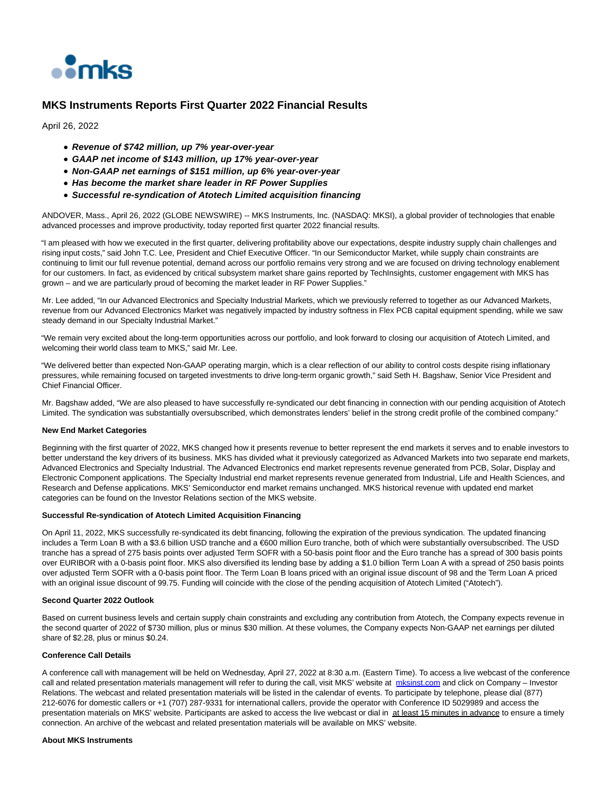

## **MKS Instruments Reports First Quarter 2022 Financial Results**

April 26, 2022

- **Revenue of \$742 million, up 7% year-over-year**
- **GAAP net income of \$143 million, up 17% year-over-year**
- **Non-GAAP net earnings of \$151 million, up 6% year-over-year**
- **Has become the market share leader in RF Power Supplies**
- **Successful re-syndication of Atotech Limited acquisition financing**

ANDOVER, Mass., April 26, 2022 (GLOBE NEWSWIRE) -- MKS Instruments, Inc. (NASDAQ: MKSI), a global provider of technologies that enable advanced processes and improve productivity, today reported first quarter 2022 financial results.

"I am pleased with how we executed in the first quarter, delivering profitability above our expectations, despite industry supply chain challenges and rising input costs," said John T.C. Lee, President and Chief Executive Officer. "In our Semiconductor Market, while supply chain constraints are continuing to limit our full revenue potential, demand across our portfolio remains very strong and we are focused on driving technology enablement for our customers. In fact, as evidenced by critical subsystem market share gains reported by TechInsights, customer engagement with MKS has grown – and we are particularly proud of becoming the market leader in RF Power Supplies."

Mr. Lee added, "In our Advanced Electronics and Specialty Industrial Markets, which we previously referred to together as our Advanced Markets, revenue from our Advanced Electronics Market was negatively impacted by industry softness in Flex PCB capital equipment spending, while we saw steady demand in our Specialty Industrial Market."

"We remain very excited about the long-term opportunities across our portfolio, and look forward to closing our acquisition of Atotech Limited, and welcoming their world class team to MKS," said Mr. Lee.

"We delivered better than expected Non-GAAP operating margin, which is a clear reflection of our ability to control costs despite rising inflationary pressures, while remaining focused on targeted investments to drive long-term organic growth," said Seth H. Bagshaw, Senior Vice President and Chief Financial Officer.

Mr. Bagshaw added, "We are also pleased to have successfully re-syndicated our debt financing in connection with our pending acquisition of Atotech Limited. The syndication was substantially oversubscribed, which demonstrates lenders' belief in the strong credit profile of the combined company."

#### **New End Market Categories**

Beginning with the first quarter of 2022, MKS changed how it presents revenue to better represent the end markets it serves and to enable investors to better understand the key drivers of its business. MKS has divided what it previously categorized as Advanced Markets into two separate end markets, Advanced Electronics and Specialty Industrial. The Advanced Electronics end market represents revenue generated from PCB, Solar, Display and Electronic Component applications. The Specialty Industrial end market represents revenue generated from Industrial, Life and Health Sciences, and Research and Defense applications. MKS' Semiconductor end market remains unchanged. MKS historical revenue with updated end market categories can be found on the Investor Relations section of the MKS website.

#### **Successful Re-syndication of Atotech Limited Acquisition Financing**

On April 11, 2022, MKS successfully re-syndicated its debt financing, following the expiration of the previous syndication. The updated financing includes a Term Loan B with a \$3.6 billion USD tranche and a €600 million Euro tranche, both of which were substantially oversubscribed. The USD tranche has a spread of 275 basis points over adjusted Term SOFR with a 50-basis point floor and the Euro tranche has a spread of 300 basis points over EURIBOR with a 0-basis point floor. MKS also diversified its lending base by adding a \$1.0 billion Term Loan A with a spread of 250 basis points over adjusted Term SOFR with a 0-basis point floor. The Term Loan B loans priced with an original issue discount of 98 and the Term Loan A priced with an original issue discount of 99.75. Funding will coincide with the close of the pending acquisition of Atotech Limited ("Atotech").

#### **Second Quarter 2022 Outlook**

Based on current business levels and certain supply chain constraints and excluding any contribution from Atotech, the Company expects revenue in the second quarter of 2022 of \$730 million, plus or minus \$30 million. At these volumes, the Company expects Non-GAAP net earnings per diluted share of \$2.28, plus or minus \$0.24.

### **Conference Call Details**

A conference call with management will be held on Wednesday, April 27, 2022 at 8:30 a.m. (Eastern Time). To access a live webcast of the conference call and related presentation materials management will refer to during the call, visit MKS' website at [mksinst.com a](https://www.globenewswire.com/Tracker?data=1m8IfcR7k4G2V-BqI7kbOB8O5q5GjXGhdW6DauehzJoQqIZrc7MCGONuG86J71x6ZwuOyEt-XpIH--k9488UnA==)nd click on Company – Investor Relations. The webcast and related presentation materials will be listed in the calendar of events. To participate by telephone, please dial (877) 212-6076 for domestic callers or +1 (707) 287-9331 for international callers, provide the operator with Conference ID 5029989 and access the presentation materials on MKS' website. Participants are asked to access the live webcast or dial in at least 15 minutes in advance to ensure a timely connection. An archive of the webcast and related presentation materials will be available on MKS' website.

#### **About MKS Instruments**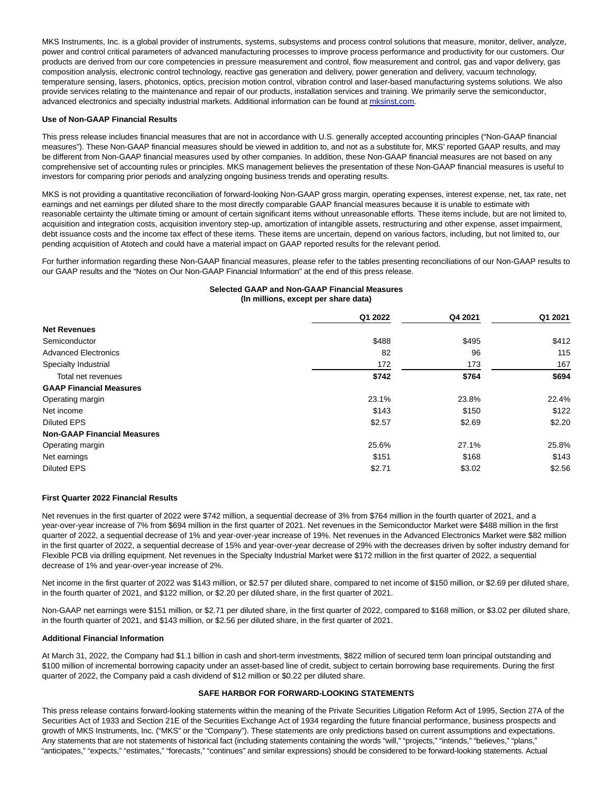MKS Instruments, Inc. is a global provider of instruments, systems, subsystems and process control solutions that measure, monitor, deliver, analyze, power and control critical parameters of advanced manufacturing processes to improve process performance and productivity for our customers. Our products are derived from our core competencies in pressure measurement and control, flow measurement and control, gas and vapor delivery, gas composition analysis, electronic control technology, reactive gas generation and delivery, power generation and delivery, vacuum technology, temperature sensing, lasers, photonics, optics, precision motion control, vibration control and laser-based manufacturing systems solutions. We also provide services relating to the maintenance and repair of our products, installation services and training. We primarily serve the semiconductor, advanced electronics and specialty industrial markets. Additional information can be found a[t mksinst.com.](https://www.globenewswire.com/Tracker?data=1m8IfcR7k4G2V-BqI7kbOFnBFWzI3tZo-4G7sDQ_o-yzhoViFUNSDaGAIYTEA96zwVgwgQh9JXTRop-ZI4i4iA==)

#### **Use of Non-GAAP Financial Results**

This press release includes financial measures that are not in accordance with U.S. generally accepted accounting principles ("Non-GAAP financial measures"). These Non-GAAP financial measures should be viewed in addition to, and not as a substitute for, MKS' reported GAAP results, and may be different from Non-GAAP financial measures used by other companies. In addition, these Non-GAAP financial measures are not based on any comprehensive set of accounting rules or principles. MKS management believes the presentation of these Non-GAAP financial measures is useful to investors for comparing prior periods and analyzing ongoing business trends and operating results.

MKS is not providing a quantitative reconciliation of forward-looking Non-GAAP gross margin, operating expenses, interest expense, net, tax rate, net earnings and net earnings per diluted share to the most directly comparable GAAP financial measures because it is unable to estimate with reasonable certainty the ultimate timing or amount of certain significant items without unreasonable efforts. These items include, but are not limited to, acquisition and integration costs, acquisition inventory step-up, amortization of intangible assets, restructuring and other expense, asset impairment, debt issuance costs and the income tax effect of these items. These items are uncertain, depend on various factors, including, but not limited to, our pending acquisition of Atotech and could have a material impact on GAAP reported results for the relevant period.

For further information regarding these Non-GAAP financial measures, please refer to the tables presenting reconciliations of our Non-GAAP results to our GAAP results and the "Notes on Our Non-GAAP Financial Information" at the end of this press release.

### **Selected GAAP and Non-GAAP Financial Measures (In millions, except per share data)**

|                                    | Q1 2022 | Q4 2021 | Q1 2021 |
|------------------------------------|---------|---------|---------|
| <b>Net Revenues</b>                |         |         |         |
| Semiconductor                      | \$488   | \$495   | \$412   |
| <b>Advanced Electronics</b>        | 82      | 96      | 115     |
| Specialty Industrial               | 172     | 173     | 167     |
| Total net revenues                 | \$742   | \$764   | \$694   |
| <b>GAAP Financial Measures</b>     |         |         |         |
| Operating margin                   | 23.1%   | 23.8%   | 22.4%   |
| Net income                         | \$143   | \$150   | \$122   |
| <b>Diluted EPS</b>                 | \$2.57  | \$2.69  | \$2.20  |
| <b>Non-GAAP Financial Measures</b> |         |         |         |
| Operating margin                   | 25.6%   | 27.1%   | 25.8%   |
| Net earnings                       | \$151   | \$168   | \$143   |
| <b>Diluted EPS</b>                 | \$2.71  | \$3.02  | \$2.56  |

### **First Quarter 2022 Financial Results**

Net revenues in the first quarter of 2022 were \$742 million, a sequential decrease of 3% from \$764 million in the fourth quarter of 2021, and a year-over-year increase of 7% from \$694 million in the first quarter of 2021. Net revenues in the Semiconductor Market were \$488 million in the first quarter of 2022, a sequential decrease of 1% and year-over-year increase of 19%. Net revenues in the Advanced Electronics Market were \$82 million in the first quarter of 2022, a sequential decrease of 15% and year-over-year decrease of 29% with the decreases driven by softer industry demand for Flexible PCB via drilling equipment. Net revenues in the Specialty Industrial Market were \$172 million in the first quarter of 2022, a sequential decrease of 1% and year-over-year increase of 2%.

Net income in the first quarter of 2022 was \$143 million, or \$2.57 per diluted share, compared to net income of \$150 million, or \$2.69 per diluted share, in the fourth quarter of 2021, and \$122 million, or \$2.20 per diluted share, in the first quarter of 2021.

Non-GAAP net earnings were \$151 million, or \$2.71 per diluted share, in the first quarter of 2022, compared to \$168 million, or \$3.02 per diluted share, in the fourth quarter of 2021, and \$143 million, or \$2.56 per diluted share, in the first quarter of 2021.

#### **Additional Financial Information**

At March 31, 2022, the Company had \$1.1 billion in cash and short-term investments, \$822 million of secured term loan principal outstanding and \$100 million of incremental borrowing capacity under an asset-based line of credit, subject to certain borrowing base requirements. During the first quarter of 2022, the Company paid a cash dividend of \$12 million or \$0.22 per diluted share.

### **SAFE HARBOR FOR FORWARD-LOOKING STATEMENTS**

This press release contains forward-looking statements within the meaning of the Private Securities Litigation Reform Act of 1995, Section 27A of the Securities Act of 1933 and Section 21E of the Securities Exchange Act of 1934 regarding the future financial performance, business prospects and growth of MKS Instruments, Inc. ("MKS" or the "Company"). These statements are only predictions based on current assumptions and expectations. Any statements that are not statements of historical fact (including statements containing the words "will," "projects," "intends," "believes," "plans," "anticipates," "expects," "estimates," "forecasts," "continues" and similar expressions) should be considered to be forward-looking statements. Actual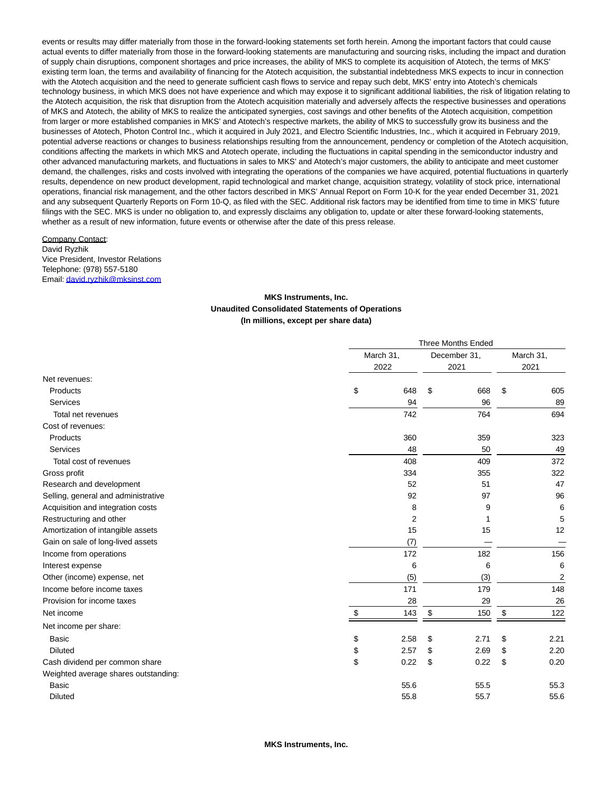events or results may differ materially from those in the forward-looking statements set forth herein. Among the important factors that could cause actual events to differ materially from those in the forward-looking statements are manufacturing and sourcing risks, including the impact and duration of supply chain disruptions, component shortages and price increases, the ability of MKS to complete its acquisition of Atotech, the terms of MKS' existing term loan, the terms and availability of financing for the Atotech acquisition, the substantial indebtedness MKS expects to incur in connection with the Atotech acquisition and the need to generate sufficient cash flows to service and repay such debt, MKS' entry into Atotech's chemicals technology business, in which MKS does not have experience and which may expose it to significant additional liabilities, the risk of litigation relating to the Atotech acquisition, the risk that disruption from the Atotech acquisition materially and adversely affects the respective businesses and operations of MKS and Atotech, the ability of MKS to realize the anticipated synergies, cost savings and other benefits of the Atotech acquisition, competition from larger or more established companies in MKS' and Atotech's respective markets, the ability of MKS to successfully grow its business and the businesses of Atotech, Photon Control Inc., which it acquired in July 2021, and Electro Scientific Industries, Inc., which it acquired in February 2019, potential adverse reactions or changes to business relationships resulting from the announcement, pendency or completion of the Atotech acquisition, conditions affecting the markets in which MKS and Atotech operate, including the fluctuations in capital spending in the semiconductor industry and other advanced manufacturing markets, and fluctuations in sales to MKS' and Atotech's major customers, the ability to anticipate and meet customer demand, the challenges, risks and costs involved with integrating the operations of the companies we have acquired, potential fluctuations in quarterly results, dependence on new product development, rapid technological and market change, acquisition strategy, volatility of stock price, international operations, financial risk management, and the other factors described in MKS' Annual Report on Form 10-K for the year ended December 31, 2021 and any subsequent Quarterly Reports on Form 10-Q, as filed with the SEC. Additional risk factors may be identified from time to time in MKS' future filings with the SEC. MKS is under no obligation to, and expressly disclaims any obligation to, update or alter these forward-looking statements, whether as a result of new information, future events or otherwise after the date of this press release.

#### Company Contact:

David Ryzhik Vice President, Investor Relations Telephone: (978) 557-5180 Email[: david.ryzhik@mksinst.com](https://www.globenewswire.com/Tracker?data=aIB8W2O9zY6vY6VeRwMRYl_rRSKh4R88unL42UbLtzeTOYxyANnyTu9xrf_6mw9Cl99umxd5kFuOhwfmCEsZc1RSS1OpW5WNLZAMeYotZBE=)

### **MKS Instruments, Inc. Unaudited Consolidated Statements of Operations (In millions, except per share data)**

|                                      | <b>Three Months Ended</b> |                |              |      |      |                |  |
|--------------------------------------|---------------------------|----------------|--------------|------|------|----------------|--|
|                                      | March 31,                 |                | December 31, |      |      | March 31,      |  |
|                                      | 2022                      |                |              | 2021 | 2021 |                |  |
| Net revenues:                        |                           |                |              |      |      |                |  |
| Products                             | \$                        | 648            | \$           | 668  | \$   | 605            |  |
| Services                             |                           | 94             |              | 96   |      | 89             |  |
| Total net revenues                   |                           | 742            |              | 764  |      | 694            |  |
| Cost of revenues:                    |                           |                |              |      |      |                |  |
| Products                             |                           | 360            |              | 359  |      | 323            |  |
| Services                             |                           | 48             |              | 50   |      | 49             |  |
| Total cost of revenues               |                           | 408            |              | 409  |      | 372            |  |
| Gross profit                         |                           | 334            |              | 355  |      | 322            |  |
| Research and development             |                           | 52             |              | 51   |      | 47             |  |
| Selling, general and administrative  |                           | 92             |              | 97   |      | 96             |  |
| Acquisition and integration costs    |                           | 8              |              | 9    |      | 6              |  |
| Restructuring and other              |                           | $\overline{2}$ |              |      |      | 5              |  |
| Amortization of intangible assets    |                           | 15             |              | 15   |      | 12             |  |
| Gain on sale of long-lived assets    |                           | (7)            |              |      |      |                |  |
| Income from operations               |                           | 172            |              | 182  |      | 156            |  |
| Interest expense                     |                           | 6              |              | 6    |      | 6              |  |
| Other (income) expense, net          |                           | (5)            |              | (3)  |      | $\overline{2}$ |  |
| Income before income taxes           |                           | 171            |              | 179  |      | 148            |  |
| Provision for income taxes           |                           | 28             |              | 29   |      | 26             |  |
| Net income                           | \$                        | 143            | \$           | 150  | \$   | 122            |  |
| Net income per share:                |                           |                |              |      |      |                |  |
| Basic                                | \$                        | 2.58           | \$           | 2.71 | \$   | 2.21           |  |
| <b>Diluted</b>                       | \$                        | 2.57           | \$           | 2.69 | \$   | 2.20           |  |
| Cash dividend per common share       | \$                        | 0.22           | \$           | 0.22 | \$   | 0.20           |  |
| Weighted average shares outstanding: |                           |                |              |      |      |                |  |
| <b>Basic</b>                         |                           | 55.6           |              | 55.5 |      | 55.3           |  |
| <b>Diluted</b>                       |                           | 55.8           |              | 55.7 |      | 55.6           |  |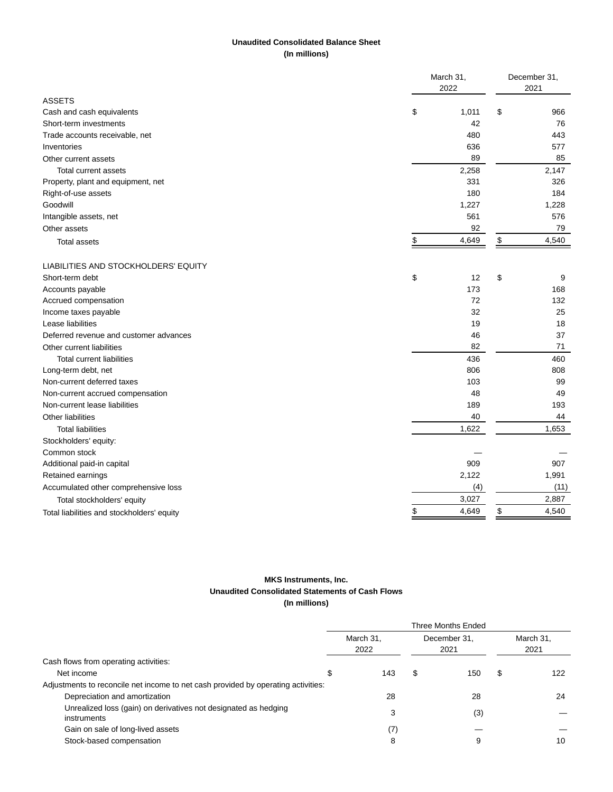## **Unaudited Consolidated Balance Sheet (In millions)**

|                                            | March 31,   |    | December 31, |  |  |
|--------------------------------------------|-------------|----|--------------|--|--|
|                                            | 2022        |    | 2021         |  |  |
| <b>ASSETS</b>                              |             |    |              |  |  |
| Cash and cash equivalents                  | \$<br>1,011 | \$ | 966          |  |  |
| Short-term investments                     | 42          |    | 76           |  |  |
| Trade accounts receivable, net             | 480         |    | 443          |  |  |
| Inventories                                | 636         |    | 577          |  |  |
| Other current assets                       | 89          |    | 85           |  |  |
| Total current assets                       | 2,258       |    | 2,147        |  |  |
| Property, plant and equipment, net         | 331         |    | 326          |  |  |
| Right-of-use assets                        | 180         |    | 184          |  |  |
| Goodwill                                   | 1,227       |    | 1,228        |  |  |
| Intangible assets, net                     | 561         |    | 576          |  |  |
| Other assets                               | 92          |    | 79           |  |  |
| <b>Total assets</b>                        | \$<br>4,649 | \$ | 4,540        |  |  |
| LIABILITIES AND STOCKHOLDERS' EQUITY       |             |    |              |  |  |
| Short-term debt                            | \$<br>12    | \$ | 9            |  |  |
| Accounts payable                           | 173         |    | 168          |  |  |
| Accrued compensation                       | 72          |    | 132          |  |  |
| Income taxes payable                       | 32          |    | 25           |  |  |
| Lease liabilities                          | 19          |    | 18           |  |  |
| Deferred revenue and customer advances     | 46          |    | 37           |  |  |
| Other current liabilities                  | 82          |    | 71           |  |  |
| <b>Total current liabilities</b>           | 436         |    | 460          |  |  |
| Long-term debt, net                        | 806         |    | 808          |  |  |
| Non-current deferred taxes                 | 103         |    | 99           |  |  |
| Non-current accrued compensation           | 48          |    | 49           |  |  |
| Non-current lease liabilities              | 189         |    | 193          |  |  |
| Other liabilities                          | 40          |    | 44           |  |  |
| <b>Total liabilities</b>                   | 1,622       |    | 1,653        |  |  |
| Stockholders' equity:                      |             |    |              |  |  |
| Common stock                               |             |    |              |  |  |
| Additional paid-in capital                 | 909         |    | 907          |  |  |
| Retained earnings                          | 2,122       |    | 1,991        |  |  |
| Accumulated other comprehensive loss       | (4)         |    | (11)         |  |  |
| Total stockholders' equity                 | 3,027       |    | 2,887        |  |  |
| Total liabilities and stockholders' equity | \$<br>4,649 | \$ | 4,540        |  |  |
|                                            |             |    |              |  |  |

## **MKS Instruments, Inc. Unaudited Consolidated Statements of Cash Flows (In millions)**

|                                                                                   | Three Months Ended |              |     |           |      |  |  |
|-----------------------------------------------------------------------------------|--------------------|--------------|-----|-----------|------|--|--|
|                                                                                   | March 31,          | December 31, |     | March 31, |      |  |  |
|                                                                                   | 2022               | 2021         |     |           | 2021 |  |  |
| Cash flows from operating activities:                                             |                    |              |     |           |      |  |  |
| Net income                                                                        | 143                | S            | 150 | S         | 122  |  |  |
| Adjustments to reconcile net income to net cash provided by operating activities: |                    |              |     |           |      |  |  |
| Depreciation and amortization                                                     | 28                 |              | 28  |           | 24   |  |  |
| Unrealized loss (gain) on derivatives not designated as hedging<br>instruments    | 3                  |              | (3) |           |      |  |  |
| Gain on sale of long-lived assets                                                 | (7)                |              |     |           |      |  |  |
| Stock-based compensation                                                          | 8                  |              | 9   |           | 10   |  |  |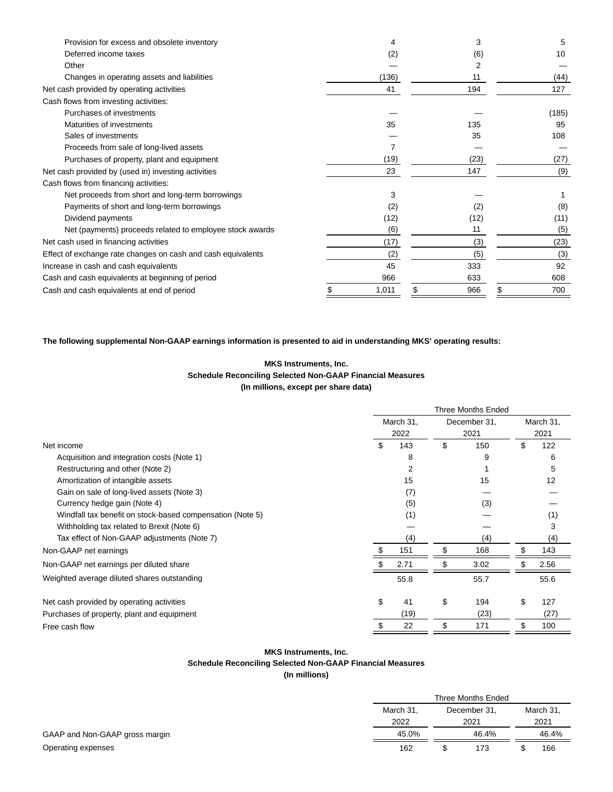| Provision for excess and obsolete inventory                  |       |          | 5     |
|--------------------------------------------------------------|-------|----------|-------|
| Deferred income taxes                                        | (2)   | (6)      | 10    |
| Other                                                        |       |          |       |
| Changes in operating assets and liabilities                  | (136) | 11       | (44)  |
| Net cash provided by operating activities                    | 41    | 194      | 127   |
| Cash flows from investing activities:                        |       |          |       |
| Purchases of investments                                     |       |          | (185) |
| Maturities of investments                                    | 35    | 135      | 95    |
| Sales of investments                                         |       | 35       | 108   |
| Proceeds from sale of long-lived assets                      |       |          |       |
| Purchases of property, plant and equipment                   | (19)  | (23)     | (27)  |
| Net cash provided by (used in) investing activities          | 23    | 147      | (9)   |
| Cash flows from financing activities:                        |       |          |       |
| Net proceeds from short and long-term borrowings             | 3     |          |       |
| Payments of short and long-term borrowings                   | (2)   | (2)      | (8)   |
| Dividend payments                                            | (12)  | (12)     | (11)  |
| Net (payments) proceeds related to employee stock awards     | (6)   | 11       | (5)   |
| Net cash used in financing activities                        | (17)  | (3)      | (23)  |
| Effect of exchange rate changes on cash and cash equivalents | (2)   | (5)      | (3)   |
| Increase in cash and cash equivalents                        | 45    | 333      | 92    |
| Cash and cash equivalents at beginning of period             | 966   | 633      | 608   |
| Cash and cash equivalents at end of period                   | 1,011 | 966<br>S | 700   |

## **The following supplemental Non-GAAP earnings information is presented to aid in understanding MKS' operating results:**

## **MKS Instruments, Inc. Schedule Reconciling Selected Non-GAAP Financial Measures (In millions, except per share data)**

|                                                           | <b>Three Months Ended</b> |           |    |              |    |           |  |
|-----------------------------------------------------------|---------------------------|-----------|----|--------------|----|-----------|--|
|                                                           |                           | March 31, |    | December 31, |    | March 31, |  |
|                                                           |                           | 2022      |    | 2021         |    | 2021      |  |
| Net income                                                | S                         | 143       | \$ | 150          | \$ | 122       |  |
| Acquisition and integration costs (Note 1)                |                           | 8         |    | 9            |    | 6         |  |
| Restructuring and other (Note 2)                          |                           | 2         |    |              |    | 5         |  |
| Amortization of intangible assets                         |                           | 15        |    | 15           |    | 12        |  |
| Gain on sale of long-lived assets (Note 3)                |                           | (7)       |    |              |    |           |  |
| Currency hedge gain (Note 4)                              |                           | (5)       |    | (3)          |    |           |  |
| Windfall tax benefit on stock-based compensation (Note 5) |                           | (1)       |    |              |    | (1)       |  |
| Withholding tax related to Brexit (Note 6)                |                           |           |    |              |    | 3         |  |
| Tax effect of Non-GAAP adjustments (Note 7)               |                           | (4)       |    | (4)          |    | (4)       |  |
| Non-GAAP net earnings                                     |                           | 151       |    | 168          |    | 143       |  |
| Non-GAAP net earnings per diluted share                   |                           | 2.71      |    | 3.02         |    | 2.56      |  |
| Weighted average diluted shares outstanding               |                           | 55.8      |    | 55.7         |    | 55.6      |  |
| Net cash provided by operating activities                 | \$                        | 41        | \$ | 194          | \$ | 127       |  |
| Purchases of property, plant and equipment                |                           | (19)      |    | (23)         |    | (27)      |  |
| Free cash flow                                            |                           | 22        | \$ | 171          | \$ | 100       |  |

# **MKS Instruments, Inc.**

## **Schedule Reconciling Selected Non-GAAP Financial Measures**

## **(In millions)**

|                                |           | Three Months Ended |      |           |
|--------------------------------|-----------|--------------------|------|-----------|
|                                | March 31, | December 31,       |      | March 31. |
|                                | 2022      | 2021               | 2021 |           |
| GAAP and Non-GAAP gross margin | 45.0%     | 46.4%              |      | 46.4%     |
| Operating expenses             | 162       | 173                |      | 166       |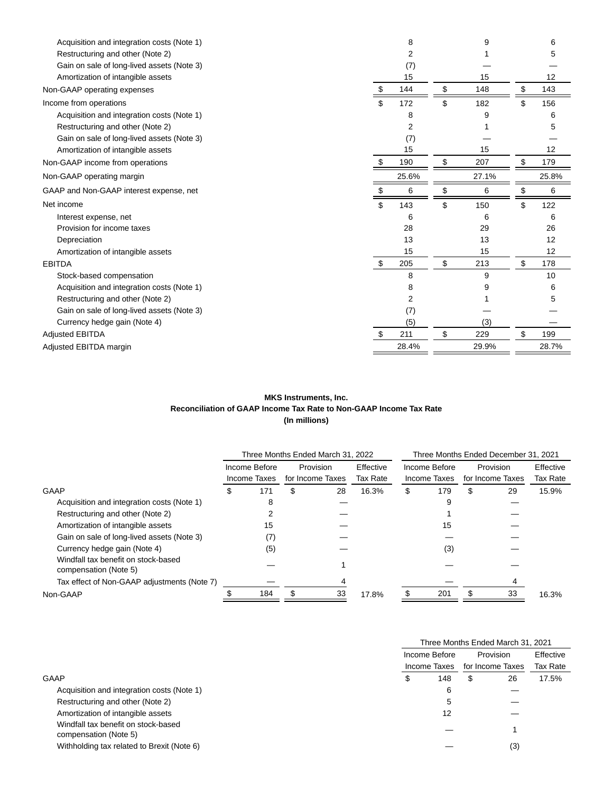| Acquisition and integration costs (Note 1) |     | 8     | 9         | 6         |
|--------------------------------------------|-----|-------|-----------|-----------|
| Restructuring and other (Note 2)           |     | 2     |           | 5         |
| Gain on sale of long-lived assets (Note 3) |     | (7)   |           |           |
| Amortization of intangible assets          |     | 15    | 15        | 12        |
| Non-GAAP operating expenses                | \$  | 144   | \$<br>148 | \$<br>143 |
| Income from operations                     | \$  | 172   | \$<br>182 | \$<br>156 |
| Acquisition and integration costs (Note 1) |     | 8     | 9         | 6         |
| Restructuring and other (Note 2)           |     | 2     |           | 5         |
| Gain on sale of long-lived assets (Note 3) |     | (7)   |           |           |
| Amortization of intangible assets          |     | 15    | 15        | 12        |
| Non-GAAP income from operations            | S   | 190   | \$<br>207 | \$<br>179 |
| Non-GAAP operating margin                  |     | 25.6% | 27.1%     | 25.8%     |
| GAAP and Non-GAAP interest expense, net    | \$  | 6     | \$<br>6   | \$<br>6   |
| Net income                                 | \$  | 143   | \$<br>150 | \$<br>122 |
| Interest expense, net                      |     | 6     | 6         | 6         |
| Provision for income taxes                 |     | 28    | 29        | 26        |
| Depreciation                               |     | 13    | 13        | 12        |
| Amortization of intangible assets          |     | 15    | 15        | 12        |
| <b>EBITDA</b>                              | \$  | 205   | \$<br>213 | \$<br>178 |
| Stock-based compensation                   |     | 8     | 9         | 10        |
| Acquisition and integration costs (Note 1) |     | 8     | 9         | 6         |
| Restructuring and other (Note 2)           |     | 2     |           | 5         |
| Gain on sale of long-lived assets (Note 3) |     | (7)   |           |           |
| Currency hedge gain (Note 4)               |     | (5)   | (3)       |           |
| <b>Adjusted EBITDA</b>                     | \$. | 211   | \$<br>229 | \$<br>199 |
| Adjusted EBITDA margin                     |     | 28.4% | 29.9%     | 28.7%     |
|                                            |     |       |           |           |

## **MKS Instruments, Inc. Reconciliation of GAAP Income Tax Rate to Non-GAAP Income Tax Rate (In millions)**

|                                                              | Three Months Ended March 31, 2022       |              |               |                  |           | Three Months Ended December 31, 2021 |              |    |                  |          |
|--------------------------------------------------------------|-----------------------------------------|--------------|---------------|------------------|-----------|--------------------------------------|--------------|----|------------------|----------|
|                                                              | Provision<br>Effective<br>Income Before |              | Income Before |                  | Provision |                                      | Effective    |    |                  |          |
|                                                              |                                         | Income Taxes |               | for Income Taxes | Tax Rate  |                                      | Income Taxes |    | for Income Taxes | Tax Rate |
| GAAP                                                         | \$                                      | 171          | \$            | 28               | 16.3%     | \$                                   | 179          | \$ | 29               | 15.9%    |
| Acquisition and integration costs (Note 1)                   |                                         | 8            |               |                  |           |                                      | 9            |    |                  |          |
| Restructuring and other (Note 2)                             |                                         |              |               |                  |           |                                      |              |    |                  |          |
| Amortization of intangible assets                            |                                         | 15           |               |                  |           |                                      | 15           |    |                  |          |
| Gain on sale of long-lived assets (Note 3)                   |                                         | (7)          |               |                  |           |                                      |              |    |                  |          |
| Currency hedge gain (Note 4)                                 |                                         | (5)          |               |                  |           |                                      | (3)          |    |                  |          |
| Windfall tax benefit on stock-based<br>compensation (Note 5) |                                         |              |               |                  |           |                                      |              |    |                  |          |
| Tax effect of Non-GAAP adjustments (Note 7)                  |                                         |              |               |                  |           |                                      |              |    |                  |          |
| Non-GAAP                                                     |                                         | 184          |               | 33               | 17.8%     |                                      | 201          |    | 33               | 16.3%    |

|                                                              | Three Months Ended March 31, 2021 |              |                  |           |  |  |  |
|--------------------------------------------------------------|-----------------------------------|--------------|------------------|-----------|--|--|--|
|                                                              | Income Before                     |              | Provision        | Effective |  |  |  |
|                                                              |                                   | Income Taxes | for Income Taxes | Tax Rate  |  |  |  |
| GAAP                                                         | Φ                                 | 148          | 26<br>\$         | 17.5%     |  |  |  |
| Acquisition and integration costs (Note 1)                   |                                   | 6            |                  |           |  |  |  |
| Restructuring and other (Note 2)                             |                                   | 5            |                  |           |  |  |  |
| Amortization of intangible assets                            |                                   | 12           |                  |           |  |  |  |
| Windfall tax benefit on stock-based<br>compensation (Note 5) |                                   |              |                  |           |  |  |  |
| Withholding tax related to Brexit (Note 6)                   |                                   |              | (3)              |           |  |  |  |